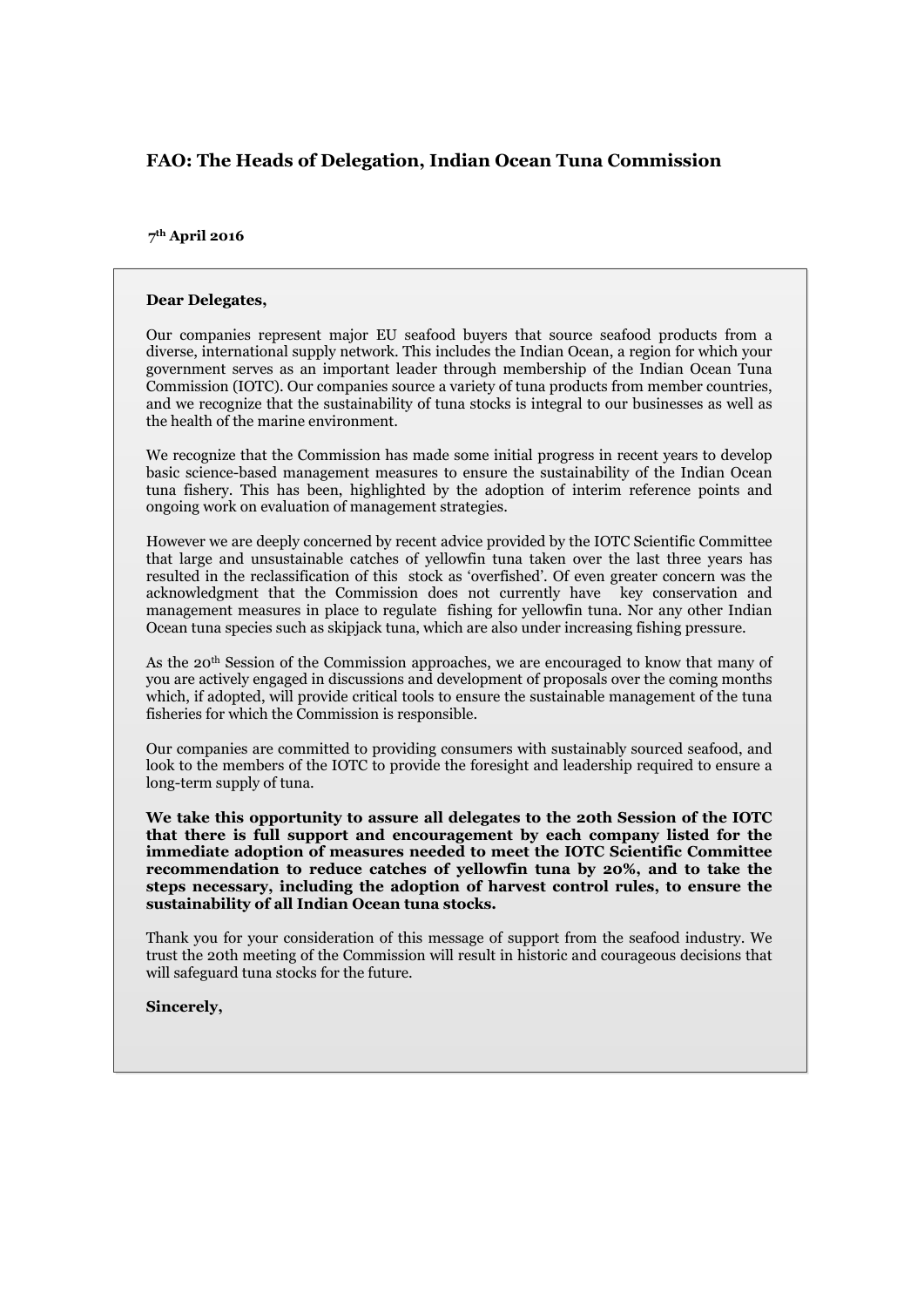## **FAO: The Heads of Delegation, Indian Ocean Tuna Commission**

## **217 thstApril 2016 March 2016**

## **Dear Delegates,**

Our companies represent major EU seafood buyers that source seafood products from a diverse, international supply network. This includes the Indian Ocean, a region for which your government serves as an important leader through membership of the Indian Ocean Tuna Commission (IOTC). Our companies source a variety of tuna products from member countries, and we recognize that the sustainability of tuna stocks is integral to our businesses as well as the health of the marine environment.

We recognize that the Commission has made some initial progress in recent years to develop basic science-based management measures to ensure the sustainability of the Indian Ocean tuna fishery. This has been, highlighted by the adoption of interim reference points and ongoing work on evaluation of management strategies.

However we are deeply concerned by recent advice provided by the IOTC Scientific Committee that large and unsustainable catches of yellowfin tuna taken over the last three years has resulted in the reclassification of this stock as 'overfished'. Of even greater concern was the acknowledgment that the Commission does not currently have key conservation and management measures in place to regulate fishing for yellowfin tuna. Nor any other Indian Ocean tuna species such as skipjack tuna, which are also under increasing fishing pressure.

As the 20th Session of the Commission approaches, we are encouraged to know that many of you are actively engaged in discussions and development of proposals over the coming months which, if adopted, will provide critical tools to ensure the sustainable management of the tuna fisheries for which the Commission is responsible.

Our companies are committed to providing consumers with sustainably sourced seafood, and look to the members of the IOTC to provide the foresight and leadership required to ensure a long-term supply of tuna.

**We take this opportunity to assure all delegates to the 20th Session of the IOTC that there is full support and encouragement by each company listed for the immediate adoption of measures needed to meet the IOTC Scientific Committee recommendation to reduce catches of yellowfin tuna by 20%, and to take the steps necessary, including the adoption of harvest control rules, to ensure the sustainability of all Indian Ocean tuna stocks.**

Thank you for your consideration of this message of support from the seafood industry. We trust the 20th meeting of the Commission will result in historic and courageous decisions that will safeguard tuna stocks for the future.

**Sincerely,**